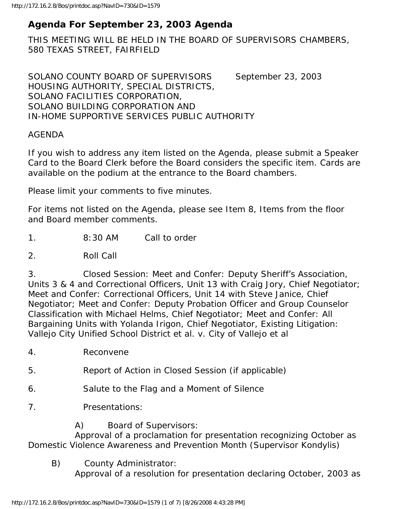# **Agenda For September 23, 2003 Agenda**

THIS MEETING WILL BE HELD IN THE BOARD OF SUPERVISORS CHAMBERS, 580 TEXAS STREET, FAIRFIELD

SOLANO COUNTY BOARD OF SUPERVISORS September 23, 2003 HOUSING AUTHORITY, SPECIAL DISTRICTS, SOLANO FACILITIES CORPORATION, SOLANO BUILDING CORPORATION AND IN-HOME SUPPORTIVE SERVICES PUBLIC AUTHORITY

#### AGENDA

If you wish to address any item listed on the Agenda, please submit a Speaker Card to the Board Clerk before the Board considers the specific item. Cards are available on the podium at the entrance to the Board chambers.

Please limit your comments to five minutes.

For items not listed on the Agenda, please see Item 8, Items from the floor and Board member comments.

1. 8:30 AM Call to order

2. Roll Call

3. Closed Session: Meet and Confer: Deputy Sheriff's Association, Units 3 & 4 and Correctional Officers, Unit 13 with Craig Jory, Chief Negotiator; Meet and Confer: Correctional Officers, Unit 14 with Steve Janice, Chief Negotiator; Meet and Confer: Deputy Probation Officer and Group Counselor Classification with Michael Helms, Chief Negotiator; Meet and Confer: All Bargaining Units with Yolanda Irigon, Chief Negotiator, Existing Litigation: Vallejo City Unified School District et al. v. City of Vallejo et al

- 4. Reconvene
- 5. Report of Action in Closed Session (if applicable)
- 6. Salute to the Flag and a Moment of Silence
- 7. Presentations:

#### A) Board of Supervisors:

 Approval of a proclamation for presentation recognizing October as Domestic Violence Awareness and Prevention Month (Supervisor Kondylis)

B) County Administrator:

Approval of a resolution for presentation declaring October, 2003 as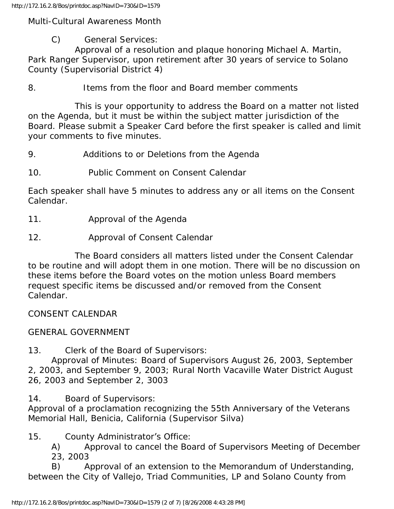Multi-Cultural Awareness Month

C) General Services:

 Approval of a resolution and plaque honoring Michael A. Martin, Park Ranger Supervisor, upon retirement after 30 years of service to Solano County (Supervisorial District 4)

8. Items from the floor and Board member comments

 This is your opportunity to address the Board on a matter not listed on the Agenda, but it must be within the subject matter jurisdiction of the Board. Please submit a Speaker Card before the first speaker is called and limit your comments to five minutes.

9. Additions to or Deletions from the Agenda

10. Public Comment on Consent Calendar

Each speaker shall have 5 minutes to address any or all items on the Consent Calendar.

- 11. Approval of the Agenda
- 12. Approval of Consent Calendar

 The Board considers all matters listed under the Consent Calendar to be routine and will adopt them in one motion. There will be no discussion on these items before the Board votes on the motion unless Board members request specific items be discussed and/or removed from the Consent Calendar.

CONSENT CALENDAR

## GENERAL GOVERNMENT

13. Clerk of the Board of Supervisors:

 Approval of Minutes: Board of Supervisors August 26, 2003, September 2, 2003, and September 9, 2003; Rural North Vacaville Water District August 26, 2003 and September 2, 3003

14. Board of Supervisors:

Approval of a proclamation recognizing the 55th Anniversary of the Veterans Memorial Hall, Benicia, California (Supervisor Silva)

15. County Administrator's Office:

 A) Approval to cancel the Board of Supervisors Meeting of December 23, 2003

 B) Approval of an extension to the Memorandum of Understanding, between the City of Vallejo, Triad Communities, LP and Solano County from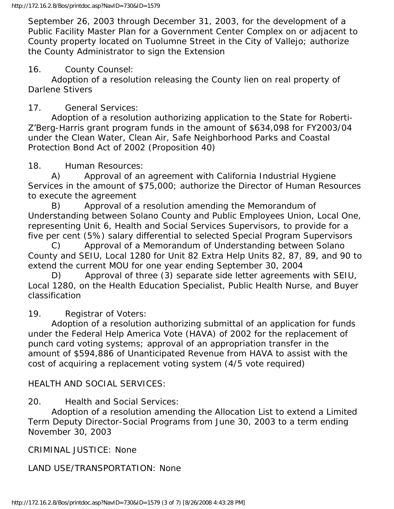September 26, 2003 through December 31, 2003, for the development of a Public Facility Master Plan for a Government Center Complex on or adjacent to County property located on Tuolumne Street in the City of Vallejo; authorize the County Administrator to sign the Extension

### 16. County Counsel:

 Adoption of a resolution releasing the County lien on real property of Darlene Stivers

## 17. General Services:

 Adoption of a resolution authorizing application to the State for Roberti-Z'Berg-Harris grant program funds in the amount of \$634,098 for FY2003/04 under the Clean Water, Clean Air, Safe Neighborhood Parks and Coastal Protection Bond Act of 2002 (Proposition 40)

### 18. Human Resources:

 A) Approval of an agreement with California Industrial Hygiene Services in the amount of \$75,000; authorize the Director of Human Resources to execute the agreement

 B) Approval of a resolution amending the Memorandum of Understanding between Solano County and Public Employees Union, Local One, representing Unit 6, Health and Social Services Supervisors, to provide for a five per cent (5%) salary differential to selected Special Program Supervisors

 C) Approval of a Memorandum of Understanding between Solano County and SEIU, Local 1280 for Unit 82 Extra Help Units 82, 87, 89, and 90 to extend the current MOU for one year ending September 30, 2004

 D) Approval of three (3) separate side letter agreements with SEIU, Local 1280, on the Health Education Specialist, Public Health Nurse, and Buyer classification

## 19. Registrar of Voters:

 Adoption of a resolution authorizing submittal of an application for funds under the Federal Help America Vote (HAVA) of 2002 for the replacement of punch card voting systems; approval of an appropriation transfer in the amount of \$594,886 of Unanticipated Revenue from HAVA to assist with the cost of acquiring a replacement voting system (4/5 vote required)

## HEALTH AND SOCIAL SERVICES:

20. Health and Social Services:

 Adoption of a resolution amending the Allocation List to extend a Limited Term Deputy Director-Social Programs from June 30, 2003 to a term ending November 30, 2003

CRIMINAL JUSTICE: None

LAND USE/TRANSPORTATION: None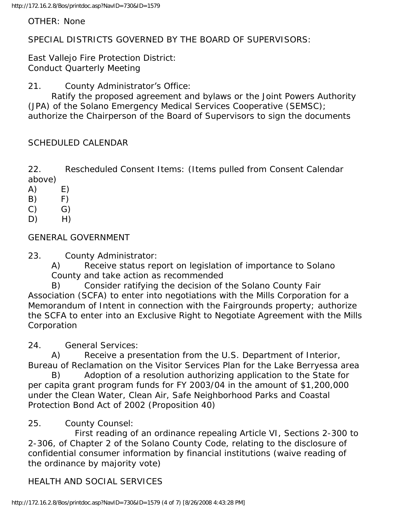#### OTHER: None

SPECIAL DISTRICTS GOVERNED BY THE BOARD OF SUPERVISORS:

East Vallejo Fire Protection District: Conduct Quarterly Meeting

21. County Administrator's Office:

 Ratify the proposed agreement and bylaws or the Joint Powers Authority (JPA) of the Solano Emergency Medical Services Cooperative (SEMSC); authorize the Chairperson of the Board of Supervisors to sign the documents

### SCHEDULED CALENDAR

22. Rescheduled Consent Items: (Items pulled from Consent Calendar above)

- $(A)$  E)
- $(B)$   $F)$
- $(C)$   $G)$
- $D)$  H)

## GENERAL GOVERNMENT

#### 23. County Administrator:

 A) Receive status report on legislation of importance to Solano County and take action as recommended

 B) Consider ratifying the decision of the Solano County Fair Association (SCFA) to enter into negotiations with the Mills Corporation for a Memorandum of Intent in connection with the Fairgrounds property; authorize the SCFA to enter into an Exclusive Right to Negotiate Agreement with the Mills Corporation

24. General Services:

 A) Receive a presentation from the U.S. Department of Interior, Bureau of Reclamation on the Visitor Services Plan for the Lake Berryessa area

 B) Adoption of a resolution authorizing application to the State for per capita grant program funds for FY 2003/04 in the amount of \$1,200,000 under the Clean Water, Clean Air, Safe Neighborhood Parks and Coastal Protection Bond Act of 2002 (Proposition 40)

## 25. County Counsel:

 First reading of an ordinance repealing Article VI, Sections 2-300 to 2-306, of Chapter 2 of the Solano County Code, relating to the disclosure of confidential consumer information by financial institutions (waive reading of the ordinance by majority vote)

## HEALTH AND SOCIAL SERVICES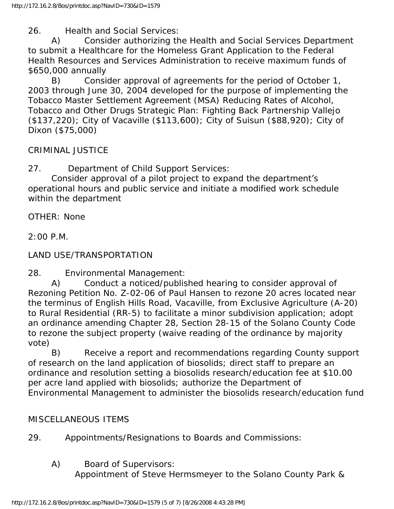26. Health and Social Services:

 A) Consider authorizing the Health and Social Services Department to submit a Healthcare for the Homeless Grant Application to the Federal Health Resources and Services Administration to receive maximum funds of \$650,000 annually

 B) Consider approval of agreements for the period of October 1, 2003 through June 30, 2004 developed for the purpose of implementing the Tobacco Master Settlement Agreement (MSA) Reducing Rates of Alcohol, Tobacco and Other Drugs Strategic Plan: Fighting Back Partnership Vallejo (\$137,220); City of Vacaville (\$113,600); City of Suisun (\$88,920); City of Dixon (\$75,000)

CRIMINAL JUSTICE

27. Department of Child Support Services:

 Consider approval of a pilot project to expand the department's operational hours and public service and initiate a modified work schedule within the department

OTHER: None

2:00 P.M.

LAND USE/TRANSPORTATION

28. Environmental Management:

 A) Conduct a noticed/published hearing to consider approval of Rezoning Petition No. Z-02-06 of Paul Hansen to rezone 20 acres located near the terminus of English Hills Road, Vacaville, from Exclusive Agriculture (A-20) to Rural Residential (RR-5) to facilitate a minor subdivision application; adopt an ordinance amending Chapter 28, Section 28-15 of the Solano County Code to rezone the subject property (waive reading of the ordinance by majority vote)

 B) Receive a report and recommendations regarding County support of research on the land application of biosolids; direct staff to prepare an ordinance and resolution setting a biosolids research/education fee at \$10.00 per acre land applied with biosolids; authorize the Department of Environmental Management to administer the biosolids research/education fund

## MISCELLANEOUS ITEMS

29. Appointments/Resignations to Boards and Commissions:

A) Board of Supervisors:

Appointment of Steve Hermsmeyer to the Solano County Park &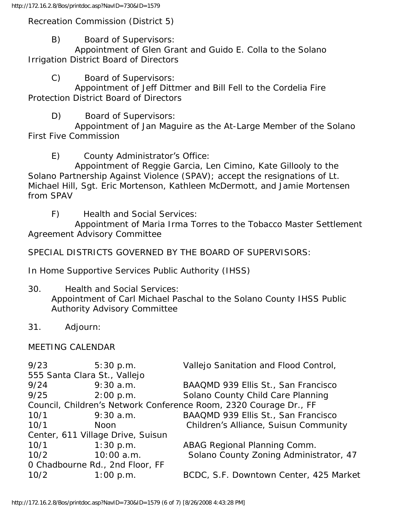#### Recreation Commission (District 5)

B) Board of Supervisors:

 Appointment of Glen Grant and Guido E. Colla to the Solano Irrigation District Board of Directors

C) Board of Supervisors:

 Appointment of Jeff Dittmer and Bill Fell to the Cordelia Fire Protection District Board of Directors

D) Board of Supervisors:

 Appointment of Jan Maguire as the At-Large Member of the Solano First Five Commission

E) County Administrator's Office:

 Appointment of Reggie Garcia, Len Cimino, Kate Gillooly to the Solano Partnership Against Violence (SPAV); accept the resignations of Lt. Michael Hill, Sgt. Eric Mortenson, Kathleen McDermott, and Jamie Mortensen from SPAV

F) Health and Social Services:

 Appointment of Maria Irma Torres to the Tobacco Master Settlement Agreement Advisory Committee

SPECIAL DISTRICTS GOVERNED BY THE BOARD OF SUPERVISORS:

In Home Supportive Services Public Authority (IHSS)

- 30. Health and Social Services: Appointment of Carl Michael Paschal to the Solano County IHSS Public Authority Advisory Committee
- 31. Adjourn:

## MEETING CALENDAR

| 9/23                                                              | 5:30 p.m.   | Vallejo Sanitation and Flood Control,  |
|-------------------------------------------------------------------|-------------|----------------------------------------|
| 555 Santa Clara St., Vallejo                                      |             |                                        |
| 9/24                                                              | $9:30$ a.m. | BAAQMD 939 Ellis St., San Francisco    |
| 9/25                                                              | 2:00 p.m.   | Solano County Child Care Planning      |
| Council, Children's Network Conference Room, 2320 Courage Dr., FF |             |                                        |
| 10/1                                                              | $9:30$ a.m. | BAAQMD 939 Ellis St., San Francisco    |
| 10/1                                                              | <b>Noon</b> | Children's Alliance, Suisun Community  |
| Center, 611 Village Drive, Suisun                                 |             |                                        |
| 10/1                                                              | 1:30 p.m.   | ABAG Regional Planning Comm.           |
| 10/2                                                              | 10:00 a.m.  | Solano County Zoning Administrator, 47 |
| O Chadbourne Rd., 2nd Floor, FF                                   |             |                                        |
| 10/2                                                              | 1:00 p.m.   | BCDC, S.F. Downtown Center, 425 Market |